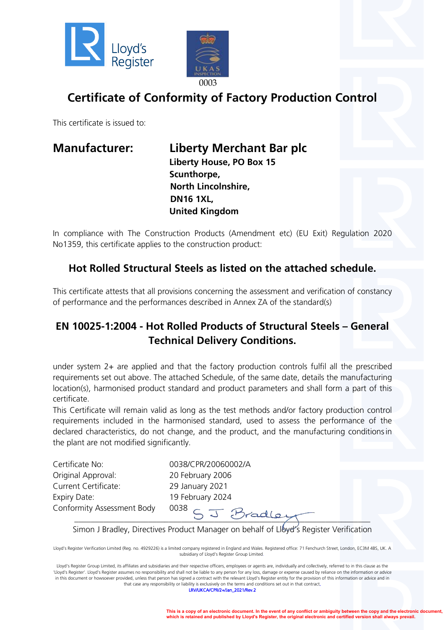



# **Certificate of Conformity of Factory Production Control**

This certificate is issued to:

**Manufacturer: Liberty Merchant Bar plc Liberty House, PO Box 15 Scunthorpe, North Lincolnshire, DN16 1XL, United Kingdom**

In compliance with The Construction Products (Amendment etc) (EU Exit) Regulation 2020 No1359, this certificate applies to the construction product:

### **Hot Rolled Structural Steels as listed on the attached schedule.**

This certificate attests that all provisions concerning the assessment and verification of constancy of performance and the performances described in Annex ZA of the standard(s)

### **EN 10025-1:2004 - Hot Rolled Products of Structural Steels – General Technical Delivery Conditions.**

under system 2+ are applied and that the factory production controls fulfil all the prescribed requirements set out above. The attached Schedule, of the same date, details the manufacturing location(s), harmonised product standard and product parameters and shall form a part of this certificate.

This Certificate will remain valid as long as the test methods and/or factory production control requirements included in the harmonised standard, used to assess the performance of the declared characteristics, do not change, and the product, and the manufacturing conditionsin the plant are not modified significantly.

Certificate No: 0038/CPR/20060002/A Original Approval: 20 February 2006 Current Certificate: 29 January 2021 Expiry Date: 19 February 2024 Conformity Assessment Body 0038

\_\_\_\_\_\_\_\_\_\_\_\_\_\_\_\_\_\_\_\_\_\_\_\_\_\_\_\_\_\_\_\_\_\_\_\_\_\_\_\_\_\_\_\_\_\_\_\_\_\_\_\_\_\_\_\_\_\_\_\_\_\_\_\_\_\_\_\_\_\_\_\_ Simon J Bradley, Directives Product Manager on behalf of Llbyd's Register Verification

Lloyd's Register Verification Limited (Reg. no. 4929226) is a limited company registered in England and Wales. Registered office: 71 Fenchurch Street, London, EC3M 4BS, UK. A subsidiary of Lloyd's Register Group Limited.

Lloyd's Register Group Limited, its affiliates and subsidiaries and their respective officers, employees or agents are, individually and collectively, referred to in this clause as the 'Lloyd's Register'. Lloyd's Register assumes no responsibility and shall not be liable to any person for any loss, damage or expense caused by reliance on the information or advice in this document or howsoever provided, unless that person has signed a contract with the relevant Lloyd's Register entity for the provision of this information or advice and in that case any responsibility or liability is exclusively on the terms and conditions set out in that contract.

LRV/UKCA/CPR/2+/Jan\_2021/Rev.2